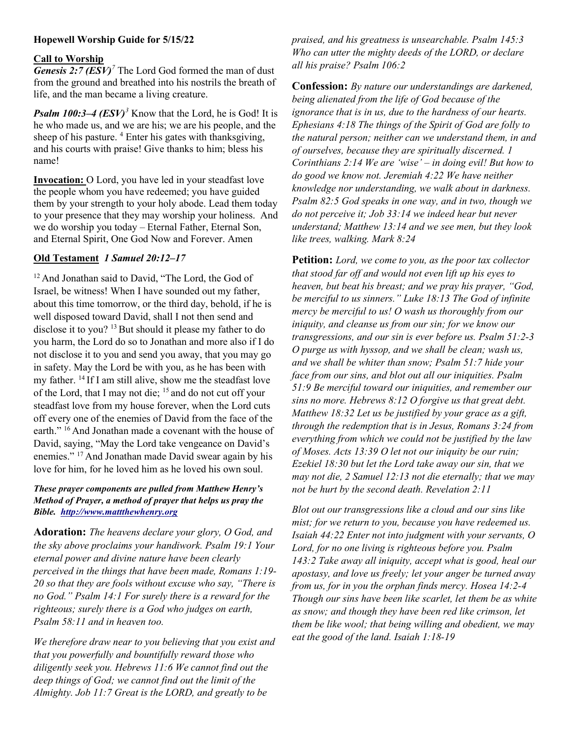# Hopewell Worship Guide for 5/15/22

## Call to Worship

**Genesis 2:7 (ESV)<sup>7</sup>** The Lord God formed the man of dust from the ground and breathed into his nostrils the breath of life, and the man became a living creature.

**Psalm 100:3–4 (ESV)<sup>3</sup>** Know that the Lord, he is God! It is he who made us, and we are his; we are his people, and the sheep of his pasture. <sup>4</sup> Enter his gates with thanksgiving, and his courts with praise! Give thanks to him; bless his name!

Invocation: O Lord, you have led in your steadfast love the people whom you have redeemed; you have guided them by your strength to your holy abode. Lead them today to your presence that they may worship your holiness. And we do worship you today – Eternal Father, Eternal Son, and Eternal Spirit, One God Now and Forever. Amen

## Old Testament 1 Samuel 20:12–17

<sup>12</sup> And Jonathan said to David, "The Lord, the God of Israel, be witness! When I have sounded out my father, about this time tomorrow, or the third day, behold, if he is well disposed toward David, shall I not then send and disclose it to you?  $13$  But should it please my father to do you harm, the Lord do so to Jonathan and more also if I do not disclose it to you and send you away, that you may go in safety. May the Lord be with you, as he has been with my father. <sup>14</sup>If I am still alive, show me the steadfast love of the Lord, that I may not die;  $15$  and do not cut off your steadfast love from my house forever, when the Lord cuts off every one of the enemies of David from the face of the earth." <sup>16</sup> And Jonathan made a covenant with the house of David, saying, "May the Lord take vengeance on David's enemies." <sup>17</sup> And Jonathan made David swear again by his love for him, for he loved him as he loved his own soul.

#### These prayer components are pulled from Matthew Henry's Method of Prayer, a method of prayer that helps us pray the Bible. http://www.mattthewhenry.org

Adoration: The heavens declare your glory, O God, and the sky above proclaims your handiwork. Psalm 19:1 Your eternal power and divine nature have been clearly perceived in the things that have been made, Romans 1:19- 20 so that they are fools without excuse who say, "There is no God." Psalm 14:1 For surely there is a reward for the righteous; surely there is a God who judges on earth, Psalm 58:11 and in heaven too.

We therefore draw near to you believing that you exist and that you powerfully and bountifully reward those who diligently seek you. Hebrews 11:6 We cannot find out the deep things of God; we cannot find out the limit of the Almighty. Job 11:7 Great is the LORD, and greatly to be

praised, and his greatness is unsearchable. Psalm 145:3 Who can utter the mighty deeds of the LORD, or declare all his praise? Psalm 106:2

Confession: By nature our understandings are darkened, being alienated from the life of God because of the ignorance that is in us, due to the hardness of our hearts. Ephesians 4:18 The things of the Spirit of God are folly to the natural person; neither can we understand them, in and of ourselves, because they are spiritually discerned. 1 Corinthians 2:14 We are 'wise' – in doing evil! But how to do good we know not. Jeremiah 4:22 We have neither knowledge nor understanding, we walk about in darkness. Psalm 82:5 God speaks in one way, and in two, though we do not perceive it; Job 33:14 we indeed hear but never understand; Matthew 13:14 and we see men, but they look like trees, walking. Mark 8:24

Petition: Lord, we come to you, as the poor tax collector that stood far off and would not even lift up his eyes to heaven, but beat his breast; and we pray his prayer, "God, be merciful to us sinners." Luke 18:13 The God of infinite mercy be merciful to us! O wash us thoroughly from our iniquity, and cleanse us from our sin; for we know our transgressions, and our sin is ever before us. Psalm 51:2-3 O purge us with hyssop, and we shall be clean; wash us, and we shall be whiter than snow; Psalm 51:7 hide your face from our sins, and blot out all our iniquities. Psalm 51:9 Be merciful toward our iniquities, and remember our sins no more. Hebrews 8:12 O forgive us that great debt. Matthew 18:32 Let us be justified by your grace as a gift, through the redemption that is in Jesus, Romans 3:24 from everything from which we could not be justified by the law of Moses. Acts 13:39 O let not our iniquity be our ruin; Ezekiel 18:30 but let the Lord take away our sin, that we may not die, 2 Samuel 12:13 not die eternally; that we may not be hurt by the second death. Revelation 2:11

Blot out our transgressions like a cloud and our sins like mist; for we return to you, because you have redeemed us. Isaiah 44:22 Enter not into judgment with your servants, O Lord, for no one living is righteous before you. Psalm 143:2 Take away all iniquity, accept what is good, heal our apostasy, and love us freely; let your anger be turned away from us, for in you the orphan finds mercy. Hosea 14:2-4 Though our sins have been like scarlet, let them be as white as snow; and though they have been red like crimson, let them be like wool; that being willing and obedient, we may eat the good of the land. Isaiah 1:18-19